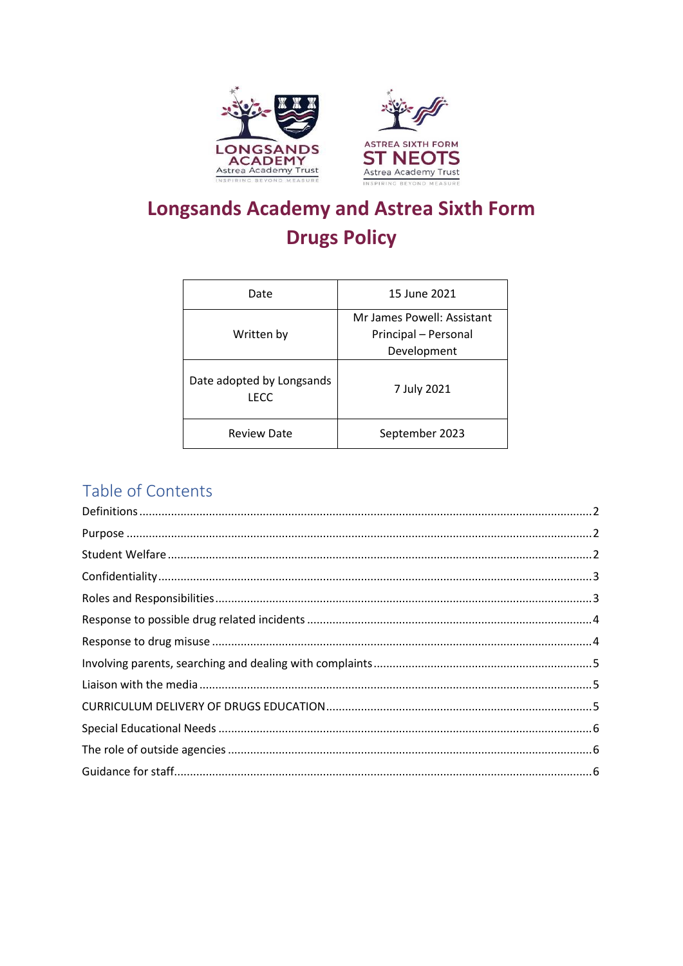

# **Longsands Academy and Astrea Sixth Form Drugs Policy**

| Date                              | 15 June 2021                                                      |
|-----------------------------------|-------------------------------------------------------------------|
| Written by                        | Mr James Powell: Assistant<br>Principal - Personal<br>Development |
| Date adopted by Longsands<br>LECC | 7 July 2021                                                       |
| <b>Review Date</b>                | September 2023                                                    |

# Table of Contents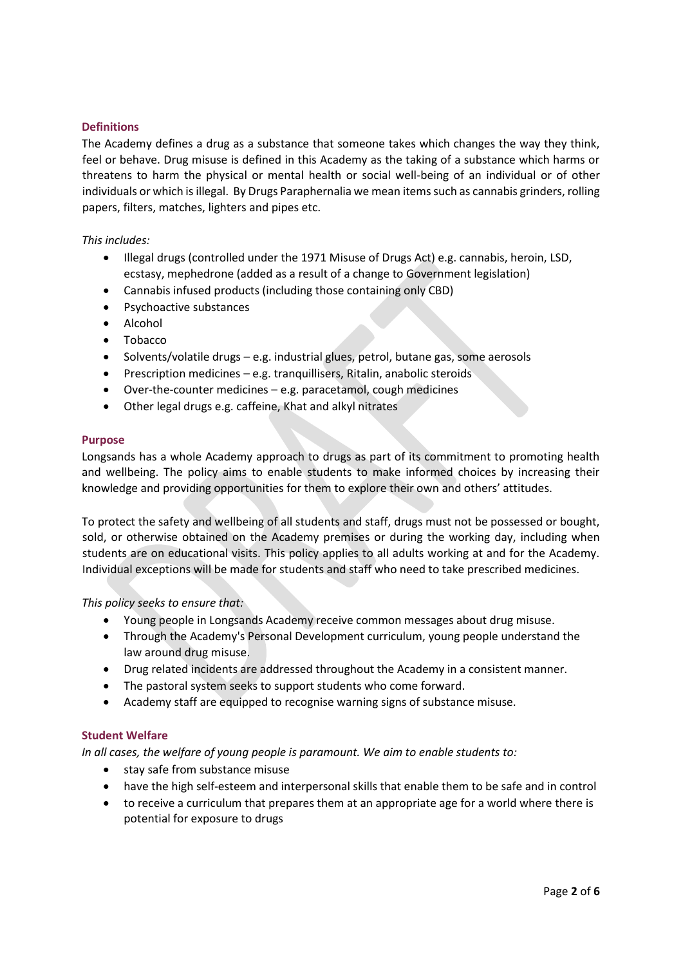# <span id="page-1-0"></span>**Definitions**

The Academy defines a drug as a substance that someone takes which changes the way they think, feel or behave. Drug misuse is defined in this Academy as the taking of a substance which harms or threatens to harm the physical or mental health or social well-being of an individual or of other individuals or which is illegal. By Drugs Paraphernalia we mean items such as cannabis grinders, rolling papers, filters, matches, lighters and pipes etc.

*This includes:* 

- Illegal drugs (controlled under the 1971 Misuse of Drugs Act) e.g. cannabis, heroin, LSD, ecstasy, mephedrone (added as a result of a change to Government legislation)
- Cannabis infused products (including those containing only CBD)
- Psychoactive substances
- Alcohol
- Tobacco
- Solvents/volatile drugs e.g. industrial glues, petrol, butane gas, some aerosols
- Prescription medicines e.g. tranquillisers, Ritalin, anabolic steroids
- Over‐the‐counter medicines e.g. paracetamol, cough medicines
- Other legal drugs e.g. caffeine, Khat and alkyl nitrates

#### <span id="page-1-1"></span>**Purpose**

Longsands has a whole Academy approach to drugs as part of its commitment to promoting health and wellbeing. The policy aims to enable students to make informed choices by increasing their knowledge and providing opportunities for them to explore their own and others' attitudes.

To protect the safety and wellbeing of all students and staff, drugs must not be possessed or bought, sold, or otherwise obtained on the Academy premises or during the working day, including when students are on educational visits. This policy applies to all adults working at and for the Academy. Individual exceptions will be made for students and staff who need to take prescribed medicines.

*This policy seeks to ensure that:* 

- Young people in Longsands Academy receive common messages about drug misuse.
- Through the Academy's Personal Development curriculum, young people understand the law around drug misuse.
- Drug related incidents are addressed throughout the Academy in a consistent manner.
- The pastoral system seeks to support students who come forward.
- Academy staff are equipped to recognise warning signs of substance misuse.

# <span id="page-1-2"></span>**Student Welfare**

*In all cases, the welfare of young people is paramount. We aim to enable students to:* 

- stay safe from substance misuse
- have the high self-esteem and interpersonal skills that enable them to be safe and in control
- to receive a curriculum that prepares them at an appropriate age for a world where there is potential for exposure to drugs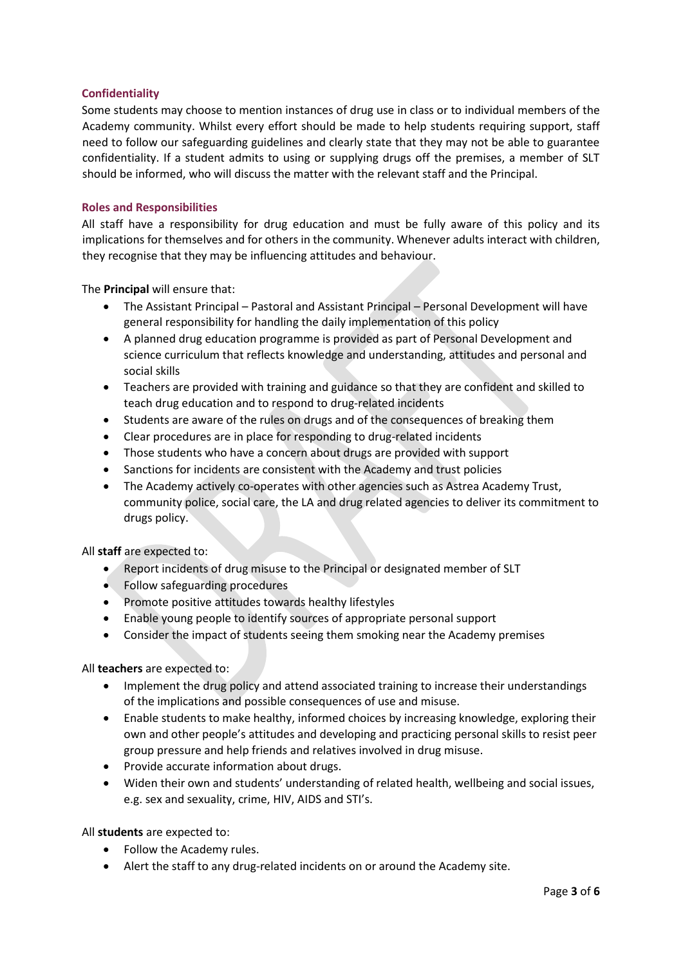# <span id="page-2-0"></span>**Confidentiality**

Some students may choose to mention instances of drug use in class or to individual members of the Academy community. Whilst every effort should be made to help students requiring support, staff need to follow our safeguarding guidelines and clearly state that they may not be able to guarantee confidentiality. If a student admits to using or supplying drugs off the premises, a member of SLT should be informed, who will discuss the matter with the relevant staff and the Principal.

# <span id="page-2-1"></span>**Roles and Responsibilities**

All staff have a responsibility for drug education and must be fully aware of this policy and its implications for themselves and for others in the community. Whenever adults interact with children, they recognise that they may be influencing attitudes and behaviour.

The **Principal** will ensure that:

- The Assistant Principal Pastoral and Assistant Principal Personal Development will have general responsibility for handling the daily implementation of this policy
- A planned drug education programme is provided as part of Personal Development and science curriculum that reflects knowledge and understanding, attitudes and personal and social skills
- Teachers are provided with training and guidance so that they are confident and skilled to teach drug education and to respond to drug‐related incidents
- Students are aware of the rules on drugs and of the consequences of breaking them
- Clear procedures are in place for responding to drug‐related incidents
- Those students who have a concern about drugs are provided with support
- Sanctions for incidents are consistent with the Academy and trust policies
- The Academy actively co-operates with other agencies such as Astrea Academy Trust, community police, social care, the LA and drug related agencies to deliver its commitment to drugs policy.

All **staff** are expected to:

- Report incidents of drug misuse to the Principal or designated member of SLT
- Follow safeguarding procedures
- Promote positive attitudes towards healthy lifestyles
- Enable young people to identify sources of appropriate personal support
- Consider the impact of students seeing them smoking near the Academy premises

All **teachers** are expected to:

- Implement the drug policy and attend associated training to increase their understandings of the implications and possible consequences of use and misuse.
- Enable students to make healthy, informed choices by increasing knowledge, exploring their own and other people's attitudes and developing and practicing personal skills to resist peer group pressure and help friends and relatives involved in drug misuse.
- Provide accurate information about drugs.
- Widen their own and students' understanding of related health, wellbeing and social issues, e.g. sex and sexuality, crime, HIV, AIDS and STI's.

All **students** are expected to:

- Follow the Academy rules.
- Alert the staff to any drug-related incidents on or around the Academy site.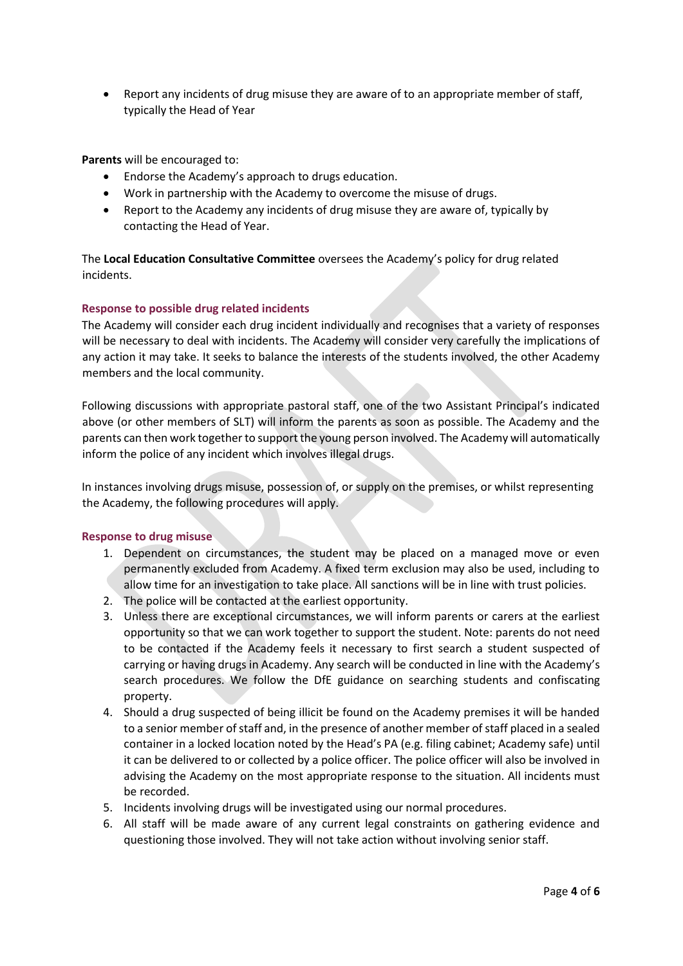• Report any incidents of drug misuse they are aware of to an appropriate member of staff, typically the Head of Year

**Parents** will be encouraged to:

- Endorse the Academy's approach to drugs education.
- Work in partnership with the Academy to overcome the misuse of drugs.
- Report to the Academy any incidents of drug misuse they are aware of, typically by contacting the Head of Year.

The **Local Education Consultative Committee** oversees the Academy's policy for drug related incidents.

#### <span id="page-3-0"></span>**Response to possible drug related incidents**

The Academy will consider each drug incident individually and recognises that a variety of responses will be necessary to deal with incidents. The Academy will consider very carefully the implications of any action it may take. It seeks to balance the interests of the students involved, the other Academy members and the local community.

Following discussions with appropriate pastoral staff, one of the two Assistant Principal's indicated above (or other members of SLT) will inform the parents as soon as possible. The Academy and the parents can then work together to support the young person involved. The Academy will automatically inform the police of any incident which involves illegal drugs.

In instances involving drugs misuse, possession of, or supply on the premises, or whilst representing the Academy, the following procedures will apply.

#### <span id="page-3-1"></span>**Response to drug misuse**

- 1. Dependent on circumstances, the student may be placed on a managed move or even permanently excluded from Academy. A fixed term exclusion may also be used, including to allow time for an investigation to take place. All sanctions will be in line with trust policies.
- 2. The police will be contacted at the earliest opportunity.
- 3. Unless there are exceptional circumstances, we will inform parents or carers at the earliest opportunity so that we can work together to support the student. Note: parents do not need to be contacted if the Academy feels it necessary to first search a student suspected of carrying or having drugs in Academy. Any search will be conducted in line with the Academy's search procedures. We follow the DfE guidance on searching students and confiscating property.
- 4. Should a drug suspected of being illicit be found on the Academy premises it will be handed to a senior member of staff and, in the presence of another member of staff placed in a sealed container in a locked location noted by the Head's PA (e.g. filing cabinet; Academy safe) until it can be delivered to or collected by a police officer. The police officer will also be involved in advising the Academy on the most appropriate response to the situation. All incidents must be recorded.
- 5. Incidents involving drugs will be investigated using our normal procedures.
- 6. All staff will be made aware of any current legal constraints on gathering evidence and questioning those involved. They will not take action without involving senior staff.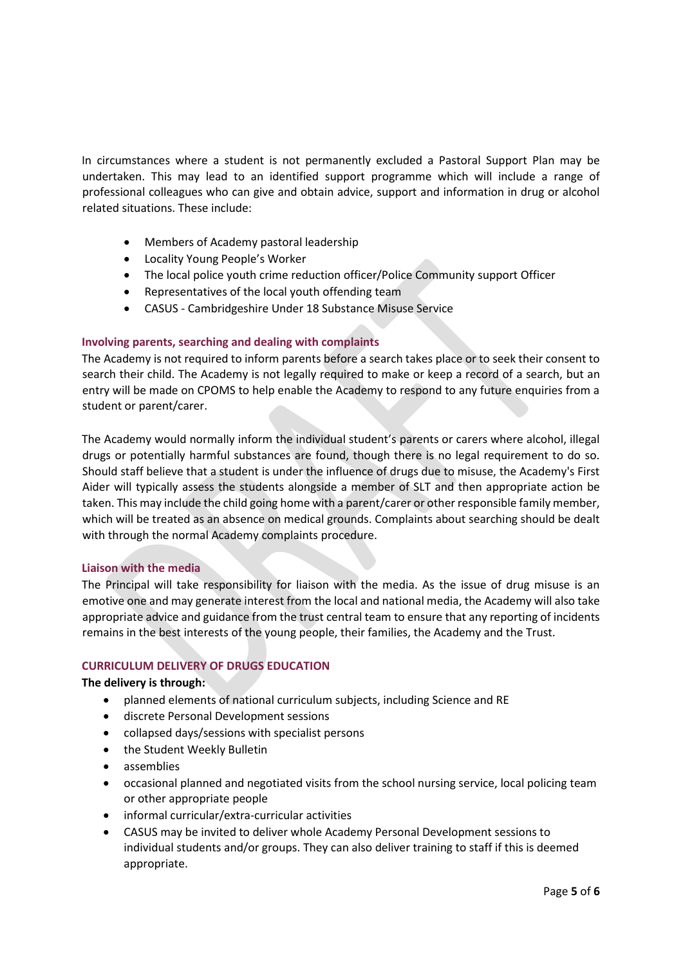In circumstances where a student is not permanently excluded a Pastoral Support Plan may be undertaken. This may lead to an identified support programme which will include a range of professional colleagues who can give and obtain advice, support and information in drug or alcohol related situations. These include:

- Members of Academy pastoral leadership
- Locality Young People's Worker
- The local police youth crime reduction officer/Police Community support Officer
- Representatives of the local youth offending team
- CASUS Cambridgeshire Under 18 Substance Misuse Service

#### <span id="page-4-0"></span>**Involving parents, searching and dealing with complaints**

The Academy is not required to inform parents before a search takes place or to seek their consent to search their child. The Academy is not legally required to make or keep a record of a search, but an entry will be made on CPOMS to help enable the Academy to respond to any future enquiries from a student or parent/carer.

The Academy would normally inform the individual student's parents or carers where alcohol, illegal drugs or potentially harmful substances are found, though there is no legal requirement to do so. Should staff believe that a student is under the influence of drugs due to misuse, the Academy's First Aider will typically assess the students alongside a member of SLT and then appropriate action be taken. This may include the child going home with a parent/carer or other responsible family member, which will be treated as an absence on medical grounds. Complaints about searching should be dealt with through the normal Academy complaints procedure.

#### <span id="page-4-1"></span>**Liaison with the media**

The Principal will take responsibility for liaison with the media. As the issue of drug misuse is an emotive one and may generate interest from the local and national media, the Academy will also take appropriate advice and guidance from the trust central team to ensure that any reporting of incidents remains in the best interests of the young people, their families, the Academy and the Trust.

#### <span id="page-4-2"></span>**CURRICULUM DELIVERY OF DRUGS EDUCATION**

#### **The delivery is through:**

- planned elements of national curriculum subjects, including Science and RE
- discrete Personal Development sessions
- collapsed days/sessions with specialist persons
- the Student Weekly Bulletin
- assemblies
- occasional planned and negotiated visits from the school nursing service, local policing team or other appropriate people
- informal curricular/extra-curricular activities
- CASUS may be invited to deliver whole Academy Personal Development sessions to individual students and/or groups. They can also deliver training to staff if this is deemed appropriate.